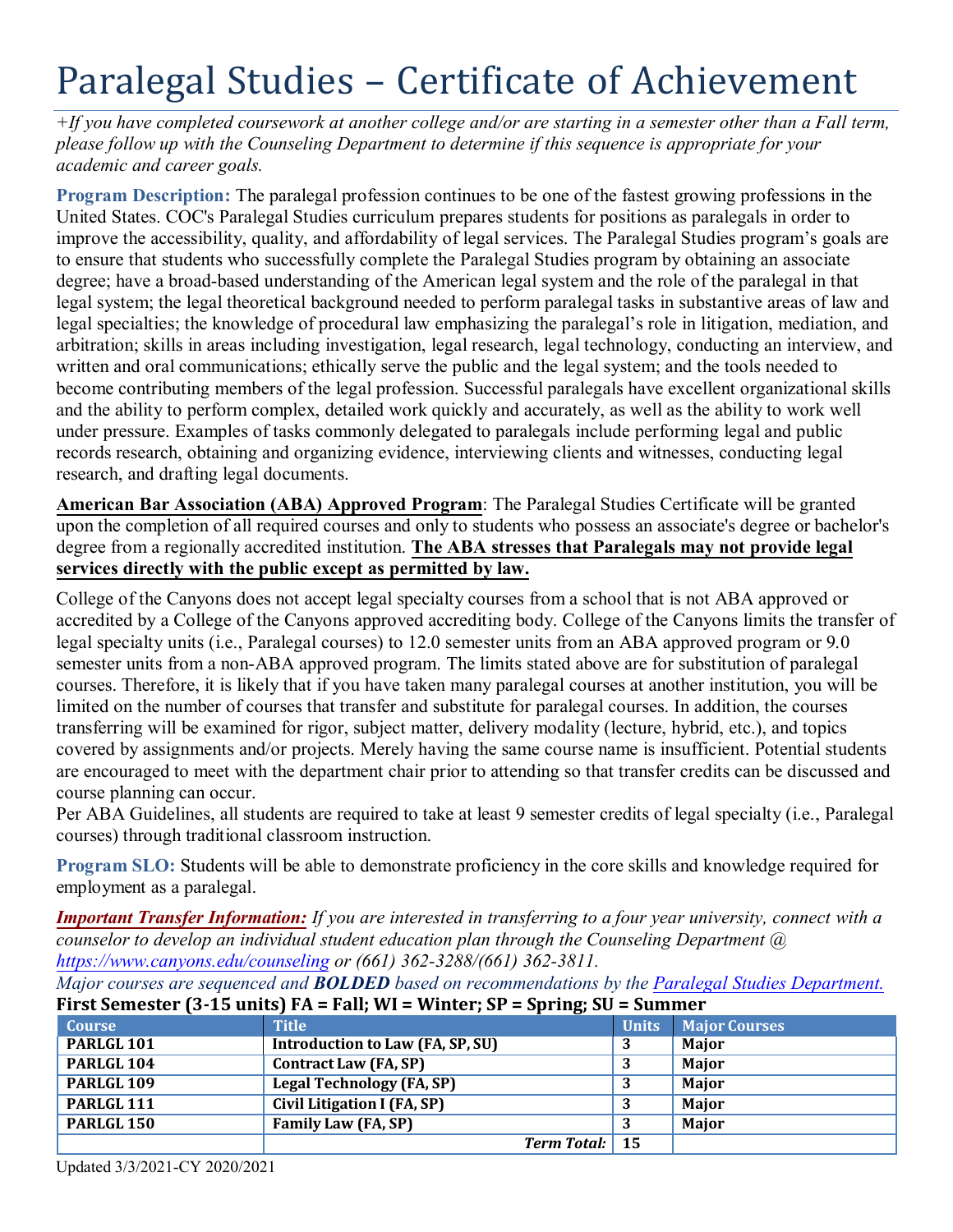# Paralegal Studies – Certificate of Achievement

*+If you have completed coursework at another college and/or are starting in a semester other than a Fall term, please follow up with the Counseling Department to determine if this sequence is appropriate for your academic and career goals.* 

 degree; have a broad-based understanding of the American legal system and the role of the paralegal in that legal specialties; the knowledge of procedural law emphasizing the paralegal's role in litigation, mediation, and arbitration; skills in areas including investigation, legal research, legal technology, conducting an interview, and written and oral communications; ethically serve the public and the legal system; and the tools needed to **Program Description:** The paralegal profession continues to be one of the fastest growing professions in the United States. COC's Paralegal Studies curriculum prepares students for positions as paralegals in order to improve the accessibility, quality, and affordability of legal services. The Paralegal Studies program's goals are to ensure that students who successfully complete the Paralegal Studies program by obtaining an associate legal system; the legal theoretical background needed to perform paralegal tasks in substantive areas of law and become contributing members of the legal profession. Successful paralegals have excellent organizational skills and the ability to perform complex, detailed work quickly and accurately, as well as the ability to work well under pressure. Examples of tasks commonly delegated to paralegals include performing legal and public records research, obtaining and organizing evidence, interviewing clients and witnesses, conducting legal research, and drafting legal documents.

**American Bar Association (ABA) Approved Program**: The Paralegal Studies Certificate will be granted upon the completion of all required courses and only to students who possess an associate's degree or bachelor's degree from a regionally accredited institution. **The ABA stresses that Paralegals may not provide legal services directly with the public except as permitted by law.** 

 College of the Canyons does not accept legal specialty courses from a school that is not ABA approved or transferring will be examined for rigor, subject matter, delivery modality (lecture, hybrid, etc.), and topics accredited by a College of the Canyons approved accrediting body. College of the Canyons limits the transfer of legal specialty units (i.e., Paralegal courses) to 12.0 semester units from an ABA approved program or 9.0 semester units from a non-ABA approved program. The limits stated above are for substitution of paralegal courses. Therefore, it is likely that if you have taken many paralegal courses at another institution, you will be limited on the number of courses that transfer and substitute for paralegal courses. In addition, the courses covered by assignments and/or projects. Merely having the same course name is insufficient. Potential students are encouraged to meet with the department chair prior to attending so that transfer credits can be discussed and course planning can occur.

Per ABA Guidelines, all students are required to take at least 9 semester credits of legal specialty (i.e., Paralegal courses) through traditional classroom instruction.

 **Program SLO:** Students will be able to demonstrate proficiency in the core skills and knowledge required for employment as a paralegal.

*Important Transfer Information: If you are interested in transferring to a four year university, connect with a counselor to develop an individual student education plan through the Counseling Department @ <https://www.canyons.edu/counseling>or (661) 362-3288/(661) 362-3811.* 

*Major courses are sequenced and BOLDED based on recommendations by the Paralegal Studies Department.* 

| Therefore the contraction of $\mathbf{r}$ and $\mathbf{r}$ and $\mathbf{r}$ and $\mathbf{r}$ and $\mathbf{r}$ and $\mathbf{r}$ and $\mathbf{r}$ and $\mathbf{r}$ and $\mathbf{r}$ and $\mathbf{r}$ and $\mathbf{r}$ and $\mathbf{r}$ and $\mathbf{r}$ and $\mathbf{r}$ and $\mathbf{r}$ a |                                  |              |                      |  |
|-------------------------------------------------------------------------------------------------------------------------------------------------------------------------------------------------------------------------------------------------------------------------------------------|----------------------------------|--------------|----------------------|--|
| <b>Course</b>                                                                                                                                                                                                                                                                             | <b>Title</b>                     | <b>Units</b> | <b>Major Courses</b> |  |
| PARLGL <sub>101</sub>                                                                                                                                                                                                                                                                     | Introduction to Law (FA, SP, SU) |              | Major                |  |
| PARLGL <sub>104</sub>                                                                                                                                                                                                                                                                     | <b>Contract Law (FA, SP)</b>     |              | <b>Major</b>         |  |
| PARLGL <sub>109</sub>                                                                                                                                                                                                                                                                     | <b>Legal Technology (FA, SP)</b> |              | <b>Major</b>         |  |
| PARLGL <sub>111</sub>                                                                                                                                                                                                                                                                     | Civil Litigation I (FA, SP)      |              | Major                |  |
| PARLGL <sub>150</sub>                                                                                                                                                                                                                                                                     | Family Law (FA, SP)              |              | Major                |  |
|                                                                                                                                                                                                                                                                                           | <b>Term Total:</b> 15            |              |                      |  |

# **First Semester (3-15 units) FA = Fall; WI = Winter; SP = Spring; SU = Summer**

Updated 3/3/2021-CY 2020/2021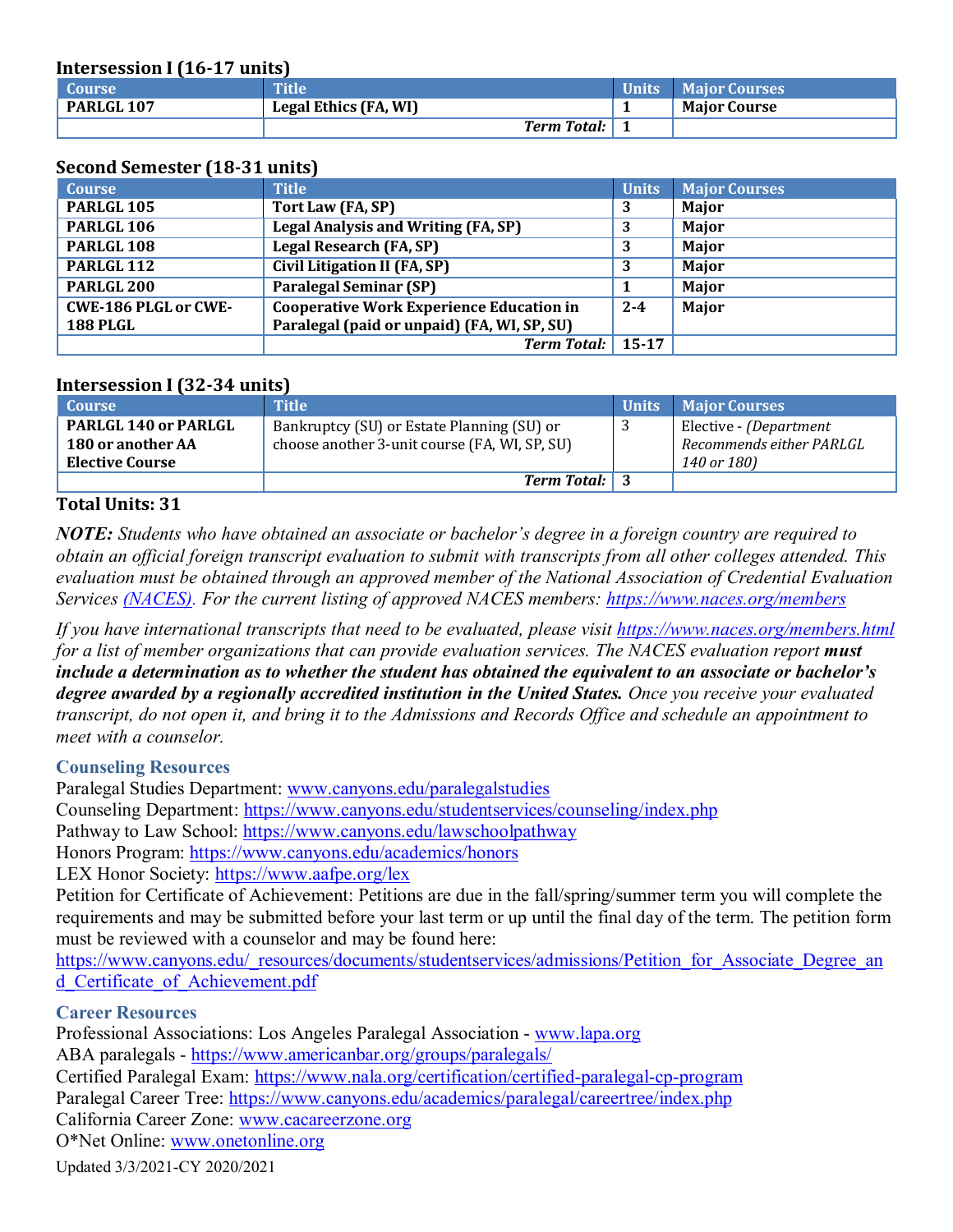**Intersession I (16-17 units)** 

| <b>Course</b> | <b>Title</b>          | <b>Units Major Courses</b> |
|---------------|-----------------------|----------------------------|
| PARLGL 107    | Legal Ethics (FA, WI) | <b>Maior Course</b>        |
|               | <b>Term Total:</b> 1  |                            |

### **Second Semester (18-31 units)**

| <b>Course</b>               | <b>Title</b>                                    | <b>Units</b> | <b>Major Courses</b> |
|-----------------------------|-------------------------------------------------|--------------|----------------------|
| PARLGL <sub>105</sub>       | Tort Law (FA, SP)                               |              | Major                |
| PARLGL <sub>106</sub>       | Legal Analysis and Writing (FA, SP)             |              | Major                |
| PARLGL <sub>108</sub>       | Legal Research (FA, SP)                         |              | Major                |
| PARLGL <sub>112</sub>       | Civil Litigation II (FA, SP)                    |              | Major                |
| PARLGL <sub>200</sub>       | <b>Paralegal Seminar (SP)</b>                   |              | Major                |
| <b>CWE-186 PLGL or CWE-</b> | <b>Cooperative Work Experience Education in</b> | $2 - 4$      | Major                |
| <b>188 PLGL</b>             | Paralegal (paid or unpaid) (FA, WI, SP, SU)     |              |                      |
|                             | <b>Term Total:</b>                              | $15 - 17$    |                      |

## **Intersession I (32-34 units)**

| <b>Course</b>               | <b>Title</b>                                  | <b>Units</b> | <b>Maior Courses</b>     |
|-----------------------------|-----------------------------------------------|--------------|--------------------------|
| <b>PARLGL 140 or PARLGL</b> | Bankruptcy (SU) or Estate Planning (SU) or    |              | Elective - (Department   |
| <b>180 or another AA</b>    | choose another 3-unit course (FA, WI, SP, SU) |              | Recommends either PARLGL |
| <b>Elective Course</b>      |                                               |              | 140 or 180)              |
|                             | <b>Term Total:</b> 3                          |              |                          |

## **Total Units: 31**

 *obtain an official foreign transcript evaluation to submit with transcripts from all other colleges attended. This Services (NACES). For the current listing of approved NACES members: <https://www.naces.org/members> NOTE: Students who have obtained an associate or bachelor's degree in a foreign country are required to evaluation must be obtained through an approved member of the National Association of Credential Evaluation* 

If you have international transcripts that need to be evaluated, please visit https://www.naces.org/members.html  *meet with a counselor. for a list of member organizations that can provide evaluation services. The NACES evaluation report must include a determination as to whether the student has obtained the equivalent to an associate or bachelor's degree awarded by a regionally accredited institution in the United States. Once you receive your evaluated transcript, do not open it, and bring it to the Admissions and Records Office and schedule an appointment to* 

#### **Counseling Resources**

Paralegal Studies Department: [www.canyons.edu/paralegalstudies](http://www.canyons.edu/paralegalstudies)

Counseling Department: <https://www.canyons.edu/studentservices/counseling/index.php>

Pathway to Law School: https://www.canyons.edu/lawschoolpathway

Honors Program:<https://www.canyons.edu/academics/honors>

LEX Honor Society: <https://www.aafpe.org/lex>

 Petition for Certificate of Achievement: Petitions are due in the fall/spring/summer term you will complete the requirements and may be submitted before your last term or up until the final day of the term. The petition form must be reviewed with a counselor and may be found here:

https://www.canyons.edu/\_resources/documents/studentservices/admissions/Petition\_for\_Associate\_Degree\_an d\_Certificate\_of\_Achievement.pdf

#### **Career Resources**

Professional Associations: Los Angeles Paralegal Association - www.lapa.org ABA paralegals - https://www.americanbar.org/groups/paralegals/ Paralegal Career Tree: https://www.canyons.edu/academics/paralegal/careertree/index.php California Career Zone: [www.cacareerzone.org](http://www.cacareerzone.org) O\*Net Online: www.onetonline.org Certified Paralegal Exam:<https://www.nala.org/certification/certified-paralegal-cp-program>